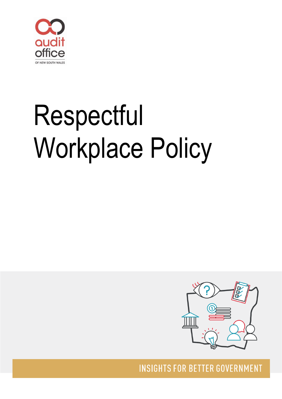

# Respectful Workplace Policy



**INSIGHTS FOR BETTER GOVERNMENT**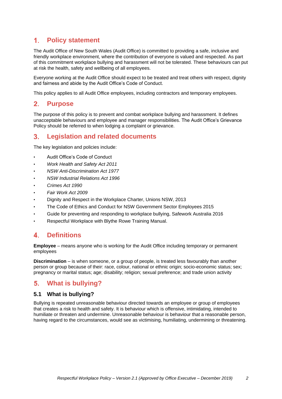#### $1<sub>1</sub>$ **Policy statement**

The Audit Office of New South Wales (Audit Office) is committed to providing a safe, inclusive and friendly workplace environment, where the contribution of everyone is valued and respected. As part of this commitment workplace bullying and harassment will not be tolerated. These behaviours can put at risk the health, safety and wellbeing of all employees.

Everyone working at the Audit Office should expect to be treated and treat others with respect, dignity and fairness and abide by the Audit Office's Code of Conduct.

This policy applies to all Audit Office employees, including contractors and temporary employees.

#### $2.$ **Purpose**

The purpose of this policy is to prevent and combat workplace bullying and harassment. It defines unacceptable behaviours and employee and manager responsibilities. The Audit Office's Grievance Policy should be referred to when lodging a complaint or grievance.

#### **Legislation and related documents** 3.

The key legislation and policies include:

- Audit Office's Code of Conduct
- *Work Health and Safety Act 2011*
- *NSW Anti-Discrimination Act 1977*
- *NSW Industrial Relations Act 1996*
- *Crimes Act 1990*
- *Fair Work Act 2009*
- Dignity and Respect in the Workplace Charter, Unions NSW, 2013
- The Code of Ethics and Conduct for NSW Government Sector Employees 2015
- Guide for preventing and responding to workplace bullying, Safework Australia 2016
- Respectful Workplace with Blythe Rowe Training Manual.

#### $\blacktriangle$ **Definitions**

**Employee** – means anyone who is working for the Audit Office including temporary or permanent employees

**Discrimination** – is when someone, or a group of people, is treated less favourably than another person or group because of their: race, colour, national or ethnic origin; socio-economic status; sex; pregnancy or marital status; age; disability; religion; sexual preference; and trade union activity

#### 5. **What is bullying?**

#### **5.1 What is bullying?**

Bullying is repeated unreasonable behaviour directed towards an employee or group of employees that creates a risk to health and safety. It is behaviour which is offensive, intimidating, intended to humiliate or threaten and undermine. Unreasonable behaviour is behaviour that a reasonable person, having regard to the circumstances, would see as victimising, humiliating, undermining or threatening.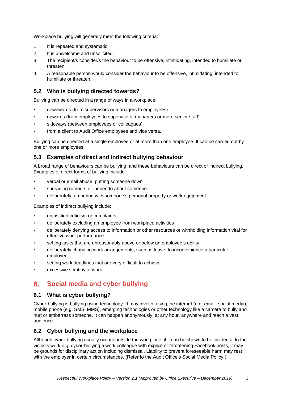Workplace bullying will generally meet the following criteria:

- 1. It is repeated and systematic.
- 2. It is unwelcome and unsolicited.
- 3. The recipient/s consider/s the behaviour to be offensive, intimidating, intended to humiliate or threaten.
- 4. A reasonable person would consider the behaviour to be offensive, intimidating, intended to humiliate or threaten.

#### **5.2 Who is bullying directed towards?**

Bullying can be directed in a range of ways in a workplace:

- downwards (from supervisors or managers to employees)
- upwards (from employees to supervisors, managers or more senior staff)
- sideways (between employees or colleagues)
- from a client to Audit Office employees and vice versa.

Bullying can be directed at a single employee or at more than one employee. It can be carried out by one or more employees.

#### **5.3 Examples of direct and indirect bullying behaviour**

A broad range of behaviours can be bullying, and these behaviours can be direct or indirect bullying. Examples of direct forms of bullying include:

- verbal or email abuse, putting someone down
- spreading rumours or innuendo about someone
- deliberately tampering with someone's personal property or work equipment.

Examples of indirect bullying include:

- unjustified criticism or complaints
- deliberately excluding an employee from workplace activities
- deliberately denying access to information or other resources or withholding information vital for effective work performance
- setting tasks that are unreasonably above or below an employee's ability
- deliberately changing work arrangements, such as leave, to inconvenience a particular employee
- setting work deadlines that are very difficult to achieve
- excessive scrutiny at work.

## **Social media and cyber bullying**

#### **6.1 What is cyber bullying?**

Cyber-bullying is bullying using technology. It may involve using the internet (e.g. email, social media), mobile phone (e.g. SMS, MMS), emerging technologies or other technology like a camera to bully and hurt or embarrass someone. It can happen anonymously, at any hour, anywhere and reach a vast audience.

#### **6.2 Cyber bullying and the workplace**

Although cyber-bullying usually occurs outside the workplace, if it can be shown to be incidental to the victim's work e.g. cyber-bullying a work colleague with explicit or threatening Facebook posts, it may be grounds for disciplinary action including dismissal. Liability to prevent foreseeable harm may rest with the employer in certain circumstances. (Refer to the Audit Office's Social Media Policy.)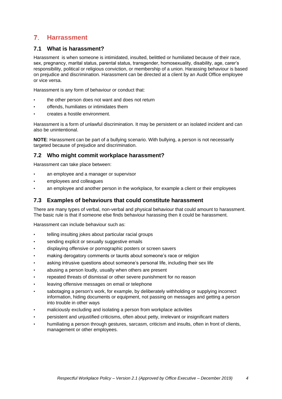# **Harrassment**

#### **7.1 What is harassment?**

Harassment is when someone is intimidated, insulted, belittled or humiliated because of their race, sex, pregnancy, marital status, parental status, transgender, homosexuality, disability, age, carer's responsibility, political or religious conviction, or membership of a union. Harassing behaviour is based on prejudice and discrimination. Harassment can be directed at a client by an Audit Office employee or vice versa.

Harassment is any form of behaviour or conduct that:

- the other person does not want and does not return
- offends, humiliates or intimidates them
- creates a hostile environment.

Harassment is a form of unlawful discrimination. It may be persistent or an isolated incident and can also be unintentional.

**NOTE**: Harassment can be part of a bullying scenario. With bullying, a person is not necessarily targeted because of prejudice and discrimination.

#### **7.2 Who might commit workplace harassment?**

Harassment can take place between:

- an employee and a manager or supervisor
- employees and colleagues
- an employee and another person in the workplace, for example a client or their employees

#### **7.3 Examples of behaviours that could constitute harassment**

There are many types of verbal, non-verbal and physical behaviour that could amount to harassment. The basic rule is that if someone else finds behaviour harassing then it could be harassment.

Harassment can include behaviour such as:

- telling insulting jokes about particular racial groups
- sending explicit or sexually suggestive emails
- displaying offensive or pornographic posters or screen savers
- making derogatory comments or taunts about someone's race or religion
- asking intrusive questions about someone's personal life, including their sex life
- abusing a person loudly, usually when others are present
- repeated threats of dismissal or other severe punishment for no reason
- leaving offensive messages on email or telephone
- sabotaging a person's work, for example, by deliberately withholding or supplying incorrect information, hiding documents or equipment, not passing on messages and getting a person into trouble in other ways
- maliciously excluding and isolating a person from workplace activities
- persistent and unjustified criticisms, often about petty, irrelevant or insignificant matters
- humiliating a person through gestures, sarcasm, criticism and insults, often in front of clients, management or other employees.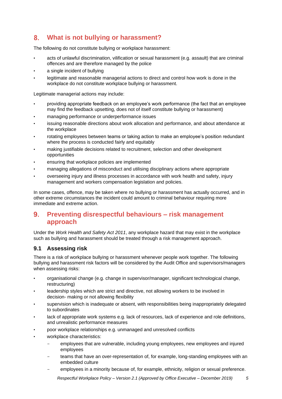# **What is not bullying or harassment?**

The following do not constitute bullying or workplace harassment:

- acts of unlawful discrimination, vilification or sexual harassment (e.g. assault) that are criminal offences and are therefore managed by the police
- a single incident of bullying
- legitimate and reasonable managerial actions to direct and control how work is done in the workplace do not constitute workplace bullying or harassment.

Legitimate managerial actions may include:

- providing appropriate feedback on an employee's work performance (the fact that an employee may find the feedback upsetting, does not of itself constitute bullying or harassment)
- managing performance or underperformance issues
- issuing reasonable directions about work allocation and performance, and about attendance at the workplace
- rotating employees between teams or taking action to make an employee's position redundant where the process is conducted fairly and equitably
- making justifiable decisions related to recruitment, selection and other development opportunities
- ensuring that workplace policies are implemented
- managing allegations of misconduct and utilising disciplinary actions where appropriate
- overseeing injury and illness processes in accordance with work health and safety, injury management and workers compensation legislation and policies.

In some cases, offence, may be taken where no bullying or harassment has actually occurred, and in other extreme circumstances the incident could amount to criminal behaviour requiring more immediate and extreme action.

#### $9<sub>1</sub>$ **Preventing disrespectful behaviours – risk management approach**

Under the *Work Health and Safety Act 2011*, any workplace hazard that may exist in the workplace such as bullying and harassment should be treated through a risk management approach.

#### **9.1 Assessing risk**

There is a risk of workplace bullying or harassment whenever people work together. The following bullying and harassment risk factors will be considered by the Audit Office and supervisors/managers when assessing risks:

- organisational change (e.g. change in supervisor/manager, significant technological change, restructuring)
- leadership styles which are strict and directive, not allowing workers to be involved in decision- making or not allowing flexibility
- supervision which is inadequate or absent, with responsibilities being inappropriately delegated to subordinates
- lack of appropriate work systems e.g. lack of resources, lack of experience and role definitions, and unrealistic performance measures
- poor workplace relationships e.g. unmanaged and unresolved conflicts
- workplace characteristics:
	- employees that are vulnerable, including young employees, new employees and injured employees
	- teams that have an over-representation of, for example, long-standing employees with an embedded culture
	- employees in a minority because of, for example, ethnicity, religion or sexual preference.

*Respectful Workplace Policy – Version 2.1 (Approved by Office Executive – December 2019) 5*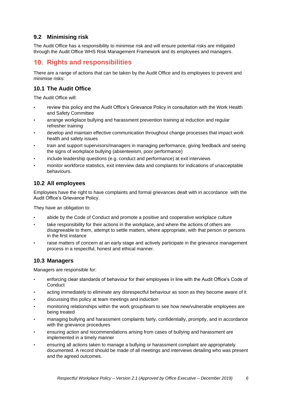## **9.2 Minimising risk**

The Audit Office has a responsibility to minimise risk and will ensure potential risks are mitigated through the Audit Office WHS Risk Management Framework and its employees and managers.

# **10. Rights and responsibilities**

There are a range of actions that can be taken by the Audit Office and its employees to prevent and minimise risks:

## **10.1 The Audit Office**

The Audit Office will:

- review this policy and the Audit Office's Grievance Policy in consultation with the Work Health and Safety Committee
- arrange workplace bullying and harassment prevention training at induction and regular refresher training
- develop and maintain effective communication throughout change processes that impact work health and safety issues
- train and support supervisors/managers in managing performance, giving feedback and seeing the signs of workplace bullying (absenteeism, poor performance)
- include leadership questions (e.g. conduct and performance) at exit interviews
- monitor workforce statistics, exit interview data and complaints for indications of unacceptable behaviours.

#### **10.2 All employees**

Employees have the right to have complaints and formal grievances dealt with in accordance with the Audit Office's Grievance Policy.

They have an obligation to:

- abide by the Code of Conduct and promote a positive and cooperative workplace culture
- take responsibility for their actions in the workplace, and where the actions of others are disagreeable to them, attempt to settle matters, where appropriate, with that person or persons in the first instance
- raise matters of concern at an early stage and actively participate in the grievance management process in a respectful, honest and ethical manner.

#### **10.3 Managers**

Managers are responsible for:

- enforcing clear standards of behaviour for their employees in line with the Audit Office's Code of Conduct
- acting immediately to eliminate any disrespectful behaviour as soon as they become aware of it
- discussing this policy at team meetings and induction
- monitoring relationships within the work group/team to see how new/vulnerable employees are being treated
- managing bullying and harassment complaints fairly, confidentially, promptly, and in accordance with the grievance procedures
- ensuring action and recommendations arising from cases of bullying and harassment are implemented in a timely manner
- ensuring all actions taken to manage a bullying or harassment complaint are appropriately documented. A record should be made of all meetings and interviews detailing who was present and the agreed outcomes.